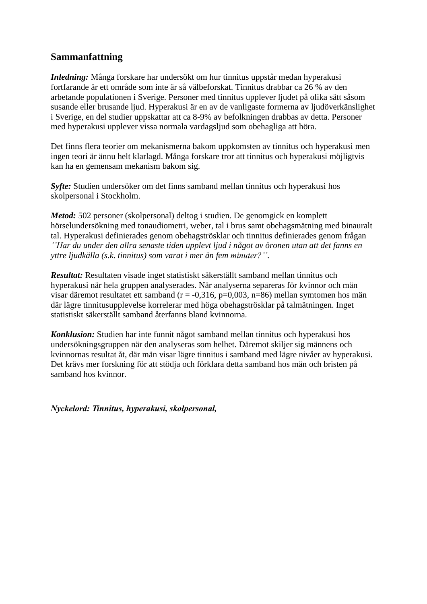## **Sammanfattning**

*Inledning:* Många forskare har undersökt om hur tinnitus uppstår medan hyperakusi fortfarande är ett område som inte är så välbeforskat. Tinnitus drabbar ca 26 % av den arbetande populationen i Sverige. Personer med tinnitus upplever ljudet på olika sätt såsom susande eller brusande ljud. Hyperakusi är en av de vanligaste formerna av ljudöverkänslighet i Sverige, en del studier uppskattar att ca 8-9% av befolkningen drabbas av detta. Personer med hyperakusi upplever vissa normala vardagsljud som obehagliga att höra.

Det finns flera teorier om mekanismerna bakom uppkomsten av tinnitus och hyperakusi men ingen teori är ännu helt klarlagd. Många forskare tror att tinnitus och hyperakusi möjligtvis kan ha en gemensam mekanism bakom sig.

*Syfte:* Studien undersöker om det finns samband mellan tinnitus och hyperakusi hos skolpersonal i Stockholm.

*Metod:* 502 personer (skolpersonal) deltog i studien. De genomgick en komplett hörselundersökning med tonaudiometri, weber, tal i brus samt obehagsmätning med binauralt tal. Hyperakusi definierades genom obehagströsklar och tinnitus definierades genom frågan *''Har du under den allra senaste tiden upplevt ljud i något av öronen utan att det fanns en yttre ljudkälla (s.k. tinnitus) som varat i mer än fem minuter?''*.

*Resultat:* Resultaten visade inget statistiskt säkerställt samband mellan tinnitus och hyperakusi när hela gruppen analyserades. När analyserna separeras för kvinnor och män visar däremot resultatet ett samband ( $r = -0.316$ ,  $p=0.003$ ,  $n=86$ ) mellan symtomen hos män där lägre tinnitusupplevelse korrelerar med höga obehagströsklar på talmätningen. Inget statistiskt säkerställt samband återfanns bland kvinnorna.

*Konklusion:* Studien har inte funnit något samband mellan tinnitus och hyperakusi hos undersökningsgruppen när den analyseras som helhet. Däremot skiljer sig männens och kvinnornas resultat åt, där män visar lägre tinnitus i samband med lägre nivåer av hyperakusi. Det krävs mer forskning för att stödja och förklara detta samband hos män och bristen på samband hos kvinnor.

*Nyckelord: Tinnitus, hyperakusi, skolpersonal,*